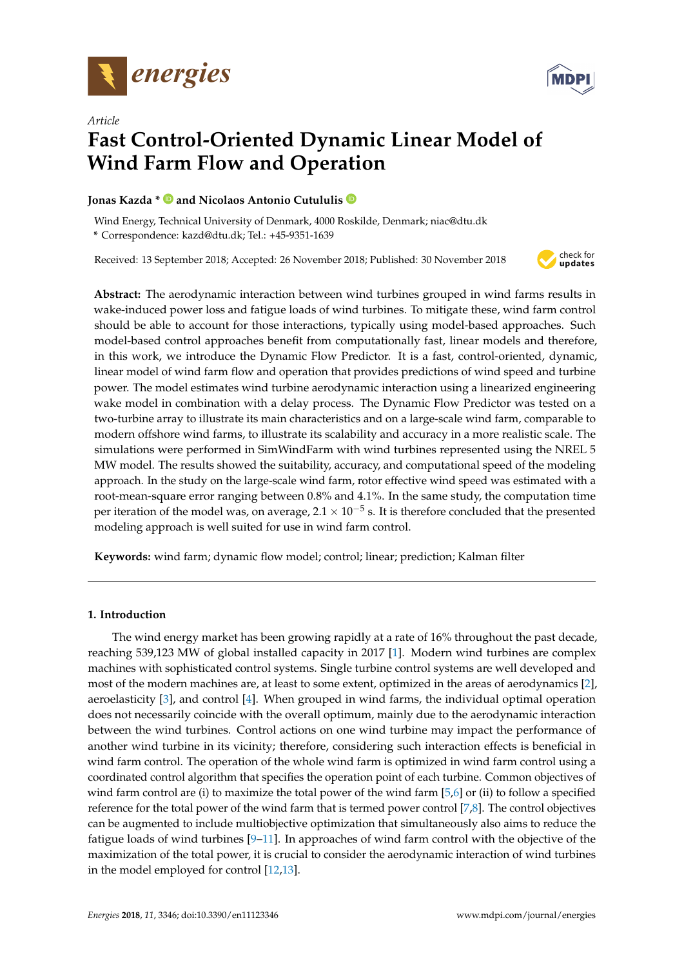

*Article*



# **Fast Control-Oriented Dynamic Linear Model of Wind Farm Flow and Operation**

# **Jonas Kazda \* D** and Nicolaos Antonio Cutululis **D**

Wind Energy, Technical University of Denmark, 4000 Roskilde, Denmark; niac@dtu.dk **\*** Correspondence: kazd@dtu.dk; Tel.: +45-9351-1639

Received: 13 September 2018; Accepted: 26 November 2018; Published: 30 November 2018



**Abstract:** The aerodynamic interaction between wind turbines grouped in wind farms results in wake-induced power loss and fatigue loads of wind turbines. To mitigate these, wind farm control should be able to account for those interactions, typically using model-based approaches. Such model-based control approaches benefit from computationally fast, linear models and therefore, in this work, we introduce the Dynamic Flow Predictor. It is a fast, control-oriented, dynamic, linear model of wind farm flow and operation that provides predictions of wind speed and turbine power. The model estimates wind turbine aerodynamic interaction using a linearized engineering wake model in combination with a delay process. The Dynamic Flow Predictor was tested on a two-turbine array to illustrate its main characteristics and on a large-scale wind farm, comparable to modern offshore wind farms, to illustrate its scalability and accuracy in a more realistic scale. The simulations were performed in SimWindFarm with wind turbines represented using the NREL 5 MW model. The results showed the suitability, accuracy, and computational speed of the modeling approach. In the study on the large-scale wind farm, rotor effective wind speed was estimated with a root-mean-square error ranging between 0.8% and 4.1%. In the same study, the computation time per iteration of the model was, on average, 2.1  $\times$  10<sup>-5</sup> s. It is therefore concluded that the presented modeling approach is well suited for use in wind farm control.

**Keywords:** wind farm; dynamic flow model; control; linear; prediction; Kalman filter

# **1. Introduction**

The wind energy market has been growing rapidly at a rate of 16% throughout the past decade, reaching 539,123 MW of global installed capacity in 2017 [\[1\]](#page-16-0). Modern wind turbines are complex machines with sophisticated control systems. Single turbine control systems are well developed and most of the modern machines are, at least to some extent, optimized in the areas of aerodynamics [\[2\]](#page-16-1), aeroelasticity [\[3\]](#page-16-2), and control [\[4\]](#page-16-3). When grouped in wind farms, the individual optimal operation does not necessarily coincide with the overall optimum, mainly due to the aerodynamic interaction between the wind turbines. Control actions on one wind turbine may impact the performance of another wind turbine in its vicinity; therefore, considering such interaction effects is beneficial in wind farm control. The operation of the whole wind farm is optimized in wind farm control using a coordinated control algorithm that specifies the operation point of each turbine. Common objectives of wind farm control are (i) to maximize the total power of the wind farm [\[5](#page-16-4)[,6\]](#page-16-5) or (ii) to follow a specified reference for the total power of the wind farm that is termed power control [\[7,](#page-16-6)[8\]](#page-16-7). The control objectives can be augmented to include multiobjective optimization that simultaneously also aims to reduce the fatigue loads of wind turbines [\[9](#page-16-8)[–11\]](#page-16-9). In approaches of wind farm control with the objective of the maximization of the total power, it is crucial to consider the aerodynamic interaction of wind turbines in the model employed for control [\[12](#page-16-10)[,13\]](#page-16-11).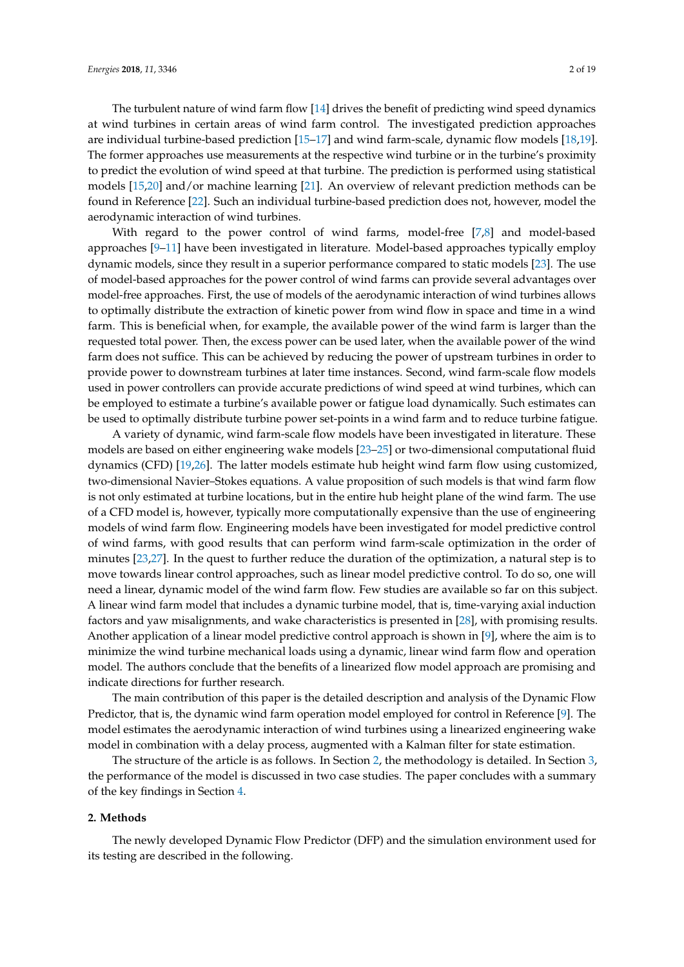The turbulent nature of wind farm flow [\[14\]](#page-17-0) drives the benefit of predicting wind speed dynamics at wind turbines in certain areas of wind farm control. The investigated prediction approaches are individual turbine-based prediction [\[15–](#page-17-1)[17\]](#page-17-2) and wind farm-scale, dynamic flow models [\[18,](#page-17-3)[19\]](#page-17-4). The former approaches use measurements at the respective wind turbine or in the turbine's proximity to predict the evolution of wind speed at that turbine. The prediction is performed using statistical models [\[15,](#page-17-1)[20\]](#page-17-5) and/or machine learning [\[21\]](#page-17-6). An overview of relevant prediction methods can be found in Reference [\[22\]](#page-17-7). Such an individual turbine-based prediction does not, however, model the aerodynamic interaction of wind turbines.

With regard to the power control of wind farms, model-free [\[7,](#page-16-6)[8\]](#page-16-7) and model-based approaches [\[9](#page-16-8)[–11\]](#page-16-9) have been investigated in literature. Model-based approaches typically employ dynamic models, since they result in a superior performance compared to static models [\[23\]](#page-17-8). The use of model-based approaches for the power control of wind farms can provide several advantages over model-free approaches. First, the use of models of the aerodynamic interaction of wind turbines allows to optimally distribute the extraction of kinetic power from wind flow in space and time in a wind farm. This is beneficial when, for example, the available power of the wind farm is larger than the requested total power. Then, the excess power can be used later, when the available power of the wind farm does not suffice. This can be achieved by reducing the power of upstream turbines in order to provide power to downstream turbines at later time instances. Second, wind farm-scale flow models used in power controllers can provide accurate predictions of wind speed at wind turbines, which can be employed to estimate a turbine's available power or fatigue load dynamically. Such estimates can be used to optimally distribute turbine power set-points in a wind farm and to reduce turbine fatigue.

A variety of dynamic, wind farm-scale flow models have been investigated in literature. These models are based on either engineering wake models [\[23](#page-17-8)[–25\]](#page-17-9) or two-dimensional computational fluid dynamics (CFD) [\[19,](#page-17-4)[26\]](#page-17-10). The latter models estimate hub height wind farm flow using customized, two-dimensional Navier–Stokes equations. A value proposition of such models is that wind farm flow is not only estimated at turbine locations, but in the entire hub height plane of the wind farm. The use of a CFD model is, however, typically more computationally expensive than the use of engineering models of wind farm flow. Engineering models have been investigated for model predictive control of wind farms, with good results that can perform wind farm-scale optimization in the order of minutes [\[23,](#page-17-8)[27\]](#page-17-11). In the quest to further reduce the duration of the optimization, a natural step is to move towards linear control approaches, such as linear model predictive control. To do so, one will need a linear, dynamic model of the wind farm flow. Few studies are available so far on this subject. A linear wind farm model that includes a dynamic turbine model, that is, time-varying axial induction factors and yaw misalignments, and wake characteristics is presented in [\[28\]](#page-17-12), with promising results. Another application of a linear model predictive control approach is shown in [\[9\]](#page-16-8), where the aim is to minimize the wind turbine mechanical loads using a dynamic, linear wind farm flow and operation model. The authors conclude that the benefits of a linearized flow model approach are promising and indicate directions for further research.

The main contribution of this paper is the detailed description and analysis of the Dynamic Flow Predictor, that is, the dynamic wind farm operation model employed for control in Reference [\[9\]](#page-16-8). The model estimates the aerodynamic interaction of wind turbines using a linearized engineering wake model in combination with a delay process, augmented with a Kalman filter for state estimation.

The structure of the article is as follows. In Section [2,](#page-1-0) the methodology is detailed. In Section [3,](#page-6-0) the performance of the model is discussed in two case studies. The paper concludes with a summary of the key findings in Section [4.](#page-15-0)

#### <span id="page-1-0"></span>**2. Methods**

The newly developed Dynamic Flow Predictor (DFP) and the simulation environment used for its testing are described in the following.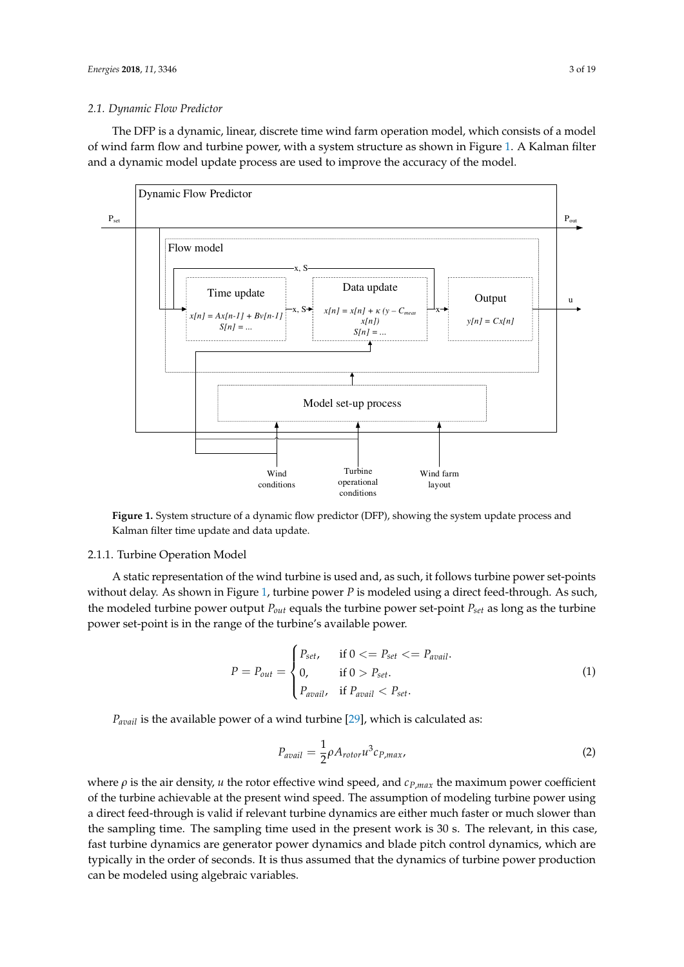## *2.1. Dynamic Flow Predictor*

The DFP is a dynamic, linear, discrete time wind farm operation model, which consists of a model of wind farm flow and turbine power, with a system structure as shown in Figure [1.](#page-2-0) A Kalman filter and a dynamic model update process are used to improve the accuracy of the model.

<span id="page-2-0"></span>

**Figure 1.** System structure of a dynamic flow predictor (DFP), showing the system update process and Kalman filter time update and data update.

## 2.1.1. Turbine Operation Model

A static representation of the wind turbine is used and, as such, it follows turbine power set-points without delay. As shown in Figure [1,](#page-2-0) turbine power *P* is modeled using a direct feed-through. As such, the modeled turbine power output *Pout* equals the turbine power set-point *Pset* as long as the turbine power set-point is in the range of the turbine's available power.

$$
P = P_{out} = \begin{cases} P_{set}, & \text{if } 0 \le P_{set} \le P_{avail}. \\ 0, & \text{if } 0 > P_{set}. \\ P_{avail}, & \text{if } P_{avail} < P_{set}. \end{cases} \tag{1}
$$

*Pavail* is the available power of a wind turbine [\[29\]](#page-17-13), which is calculated as:

<span id="page-2-1"></span>
$$
P_{avail} = \frac{1}{2} \rho A_{rotor} u^3 c_{P,max},
$$
\n(2)

where  $\rho$  is the air density, *u* the rotor effective wind speed, and  $c_{P,max}$  the maximum power coefficient of the turbine achievable at the present wind speed. The assumption of modeling turbine power using a direct feed-through is valid if relevant turbine dynamics are either much faster or much slower than the sampling time. The sampling time used in the present work is 30 s. The relevant, in this case, fast turbine dynamics are generator power dynamics and blade pitch control dynamics, which are typically in the order of seconds. It is thus assumed that the dynamics of turbine power production can be modeled using algebraic variables.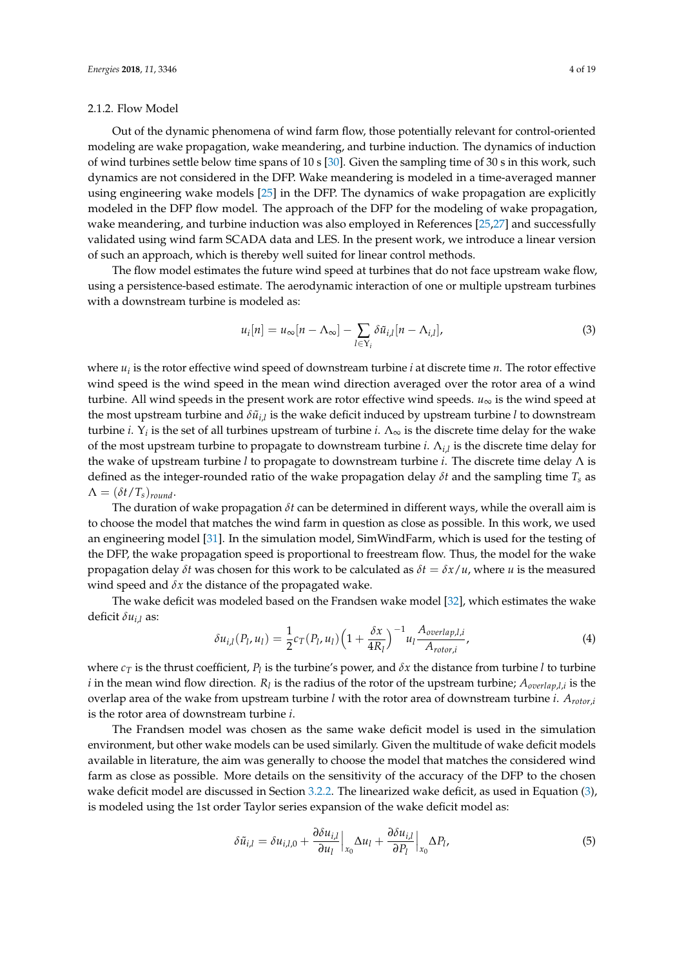#### <span id="page-3-2"></span>2.1.2. Flow Model

Out of the dynamic phenomena of wind farm flow, those potentially relevant for control-oriented modeling are wake propagation, wake meandering, and turbine induction. The dynamics of induction of wind turbines settle below time spans of 10 s [\[30\]](#page-17-14). Given the sampling time of 30 s in this work, such dynamics are not considered in the DFP. Wake meandering is modeled in a time-averaged manner using engineering wake models [\[25\]](#page-17-9) in the DFP. The dynamics of wake propagation are explicitly modeled in the DFP flow model. The approach of the DFP for the modeling of wake propagation, wake meandering, and turbine induction was also employed in References [\[25,](#page-17-9)[27\]](#page-17-11) and successfully validated using wind farm SCADA data and LES. In the present work, we introduce a linear version of such an approach, which is thereby well suited for linear control methods.

The flow model estimates the future wind speed at turbines that do not face upstream wake flow, using a persistence-based estimate. The aerodynamic interaction of one or multiple upstream turbines with a downstream turbine is modeled as:

<span id="page-3-0"></span>
$$
u_i[n] = u_{\infty}[n - \Lambda_{\infty}] - \sum_{l \in \Upsilon_i} \delta \tilde{u}_{i,l}[n - \Lambda_{i,l}], \tag{3}
$$

where *u<sup>i</sup>* is the rotor effective wind speed of downstream turbine *i* at discrete time *n*. The rotor effective wind speed is the wind speed in the mean wind direction averaged over the rotor area of a wind turbine. All wind speeds in the present work are rotor effective wind speeds.  $u_{\infty}$  is the wind speed at the most upstream turbine and  $\delta \tilde{u}_{i,l}$  is the wake deficit induced by upstream turbine *l* to downstream turbine *i*.  $Y_i$  is the set of all turbines upstream of turbine *i*.  $\Lambda_\infty$  is the discrete time delay for the wake of the most upstream turbine to propagate to downstream turbine *i*. Λ*i*,*<sup>l</sup>* is the discrete time delay for the wake of upstream turbine *l* to propagate to downstream turbine *i*. The discrete time delay Λ is defined as the integer-rounded ratio of the wake propagation delay *δt* and the sampling time *T<sup>s</sup>* as  $\Lambda = (\delta t / T_s)_{round}.$ 

The duration of wake propagation *δt* can be determined in different ways, while the overall aim is to choose the model that matches the wind farm in question as close as possible. In this work, we used an engineering model [\[31\]](#page-17-15). In the simulation model, SimWindFarm, which is used for the testing of the DFP, the wake propagation speed is proportional to freestream flow. Thus, the model for the wake propagation delay *δt* was chosen for this work to be calculated as *δt* = *δx*/*u*, where *u* is the measured wind speed and *δx* the distance of the propagated wake.

The wake deficit was modeled based on the Frandsen wake model [\[32\]](#page-17-16), which estimates the wake deficit *δui*,*<sup>l</sup>* as:

$$
\delta u_{i,l}(P_l, u_l) = \frac{1}{2} c_T(P_l, u_l) \left(1 + \frac{\delta x}{4R_l}\right)^{-1} u_l \frac{A_{\text{overlap},l,i}}{A_{\text{rotor},i}},\tag{4}
$$

where  $c_T$  is the thrust coefficient,  $P_l$  is the turbine's power, and  $\delta x$  the distance from turbine  $l$  to turbine *i* in the mean wind flow direction.  $R_l$  is the radius of the rotor of the upstream turbine;  $A_{overlap,l,i}$  is the overlap area of the wake from upstream turbine *l* with the rotor area of downstream turbine *i*. *Arotor*,*<sup>i</sup>* is the rotor area of downstream turbine *i*.

The Frandsen model was chosen as the same wake deficit model is used in the simulation environment, but other wake models can be used similarly. Given the multitude of wake deficit models available in literature, the aim was generally to choose the model that matches the considered wind farm as close as possible. More details on the sensitivity of the accuracy of the DFP to the chosen wake deficit model are discussed in Section [3.2.2.](#page-13-0) The linearized wake deficit, as used in Equation [\(3\)](#page-3-0), is modeled using the 1st order Taylor series expansion of the wake deficit model as:

<span id="page-3-1"></span>
$$
\delta \tilde{u}_{i,l} = \delta u_{i,l,0} + \frac{\partial \delta u_{i,l}}{\partial u_l}\Big|_{x_0} \Delta u_l + \frac{\partial \delta u_{i,l}}{\partial P_l}\Big|_{x_0} \Delta P_l,\tag{5}
$$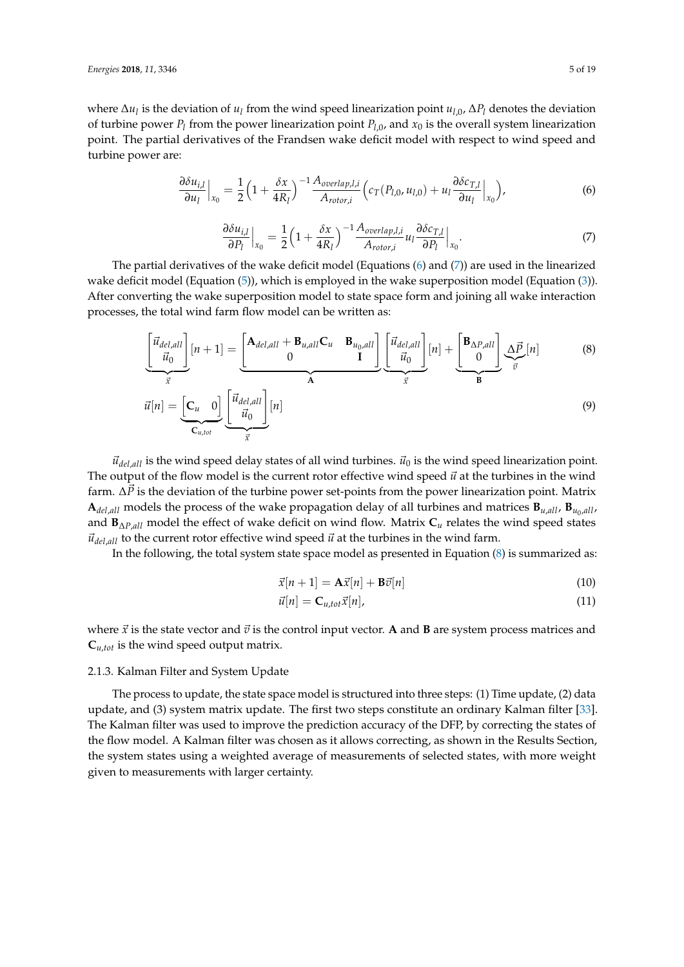where ∆*u<sup>l</sup>* is the deviation of *u<sup>l</sup>* from the wind speed linearization point *ul*,0, ∆*P<sup>l</sup>* denotes the deviation of turbine power  $P_l$  from the power linearization point  $P_{l,0}$ , and  $x_0$  is the overall system linearization point. The partial derivatives of the Frandsen wake deficit model with respect to wind speed and turbine power are:

<span id="page-4-0"></span>
$$
\frac{\partial \delta u_{i,l}}{\partial u_l}\Big|_{x_0} = \frac{1}{2} \Big(1 + \frac{\delta x}{4R_l}\Big)^{-1} \frac{A_{\text{overlap},l,i}}{A_{\text{rotor},i}} \Big( c_T(P_{l,0}, u_{l,0}) + u_l \frac{\partial \delta c_{T,l}}{\partial u_l}\Big|_{x_0} \Big),\tag{6}
$$

<span id="page-4-2"></span><span id="page-4-1"></span>
$$
\frac{\partial \delta u_{i,l}}{\partial P_l}\Big|_{x_0} = \frac{1}{2} \Big( 1 + \frac{\delta x}{4R_l} \Big)^{-1} \frac{A_{\text{overlap},l,i}}{A_{\text{rotor},i}} u_l \frac{\partial \delta c_{T,l}}{\partial P_l}\Big|_{x_0}.
$$
\n<sup>(7)</sup>

The partial derivatives of the wake deficit model (Equations [\(6\)](#page-4-0) and [\(7\)](#page-4-1)) are used in the linearized wake deficit model (Equation [\(5\)](#page-3-1)), which is employed in the wake superposition model (Equation [\(3\)](#page-3-0)). After converting the wake superposition model to state space form and joining all wake interaction processes, the total wind farm flow model can be written as:

$$
\underbrace{\begin{bmatrix}\vec{u}_{del,all} \\ \vec{u}_0\end{bmatrix}}_{\vec{x}}[n+1] = \underbrace{\begin{bmatrix}\n\mathbf{A}_{del,all} + \mathbf{B}_{u,all}\mathbf{C}_{u} & \mathbf{B}_{u_0,all} \\
0 & \mathbf{I}\n\end{bmatrix}}_{\mathbf{A}}\underbrace{\begin{bmatrix}\vec{u}_{del,all} \\ \vec{u}_0\end{bmatrix}}_{\vec{x}}[n] + \underbrace{\begin{bmatrix}\n\mathbf{B}_{\Delta P,all} \\ \mathbf{0}\end{bmatrix}}_{\mathbf{B}}\underbrace{\Delta \vec{P}}_{\vec{v}}[n] \qquad (8)
$$
\n
$$
\vec{u}[n] = \underbrace{\begin{bmatrix}\n\mathbf{C}_{u} & 0\n\end{bmatrix}}_{\mathbf{C}_{u,tot}}\underbrace{\begin{bmatrix}\vec{u}_{del,all} \\ \vec{u}_0\end{bmatrix}}_{\vec{x}}[n] \qquad (9)
$$

 $\vec{u}_{del,all}$  is the wind speed delay states of all wind turbines.  $\vec{u}_0$  is the wind speed linearization point. The output of the flow model is the current rotor effective wind speed  $\vec{u}$  at the turbines in the wind farm.  $\Delta \vec{P}$  is the deviation of the turbine power set-points from the power linearization point. Matrix  $A_{del,all}$  models the process of the wake propagation delay of all turbines and matrices  $B_{u,all}$ ,  $B_{u_0,all}$ , and **B**∆*P*,*all* model the effect of wake deficit on wind flow. Matrix **C***<sup>u</sup>* relates the wind speed states  $\vec{u}_{del,all}$  to the current rotor effective wind speed  $\vec{u}$  at the turbines in the wind farm.

In the following, the total system state space model as presented in Equation [\(8\)](#page-4-2) is summarized as:

$$
\vec{x}[n+1] = \mathbf{A}\vec{x}[n] + \mathbf{B}\vec{v}[n] \tag{10}
$$

$$
\vec{u}[n] = \mathbf{C}_{u,tot}\vec{x}[n],\tag{11}
$$

where  $\vec{x}$  is the state vector and  $\vec{v}$  is the control input vector. **A** and **B** are system process matrices and **C***u*,*tot* is the wind speed output matrix.

## 2.1.3. Kalman Filter and System Update

The process to update, the state space model is structured into three steps: (1) Time update, (2) data update, and (3) system matrix update. The first two steps constitute an ordinary Kalman filter [\[33\]](#page-17-17). The Kalman filter was used to improve the prediction accuracy of the DFP, by correcting the states of the flow model. A Kalman filter was chosen as it allows correcting, as shown in the Results Section, the system states using a weighted average of measurements of selected states, with more weight given to measurements with larger certainty.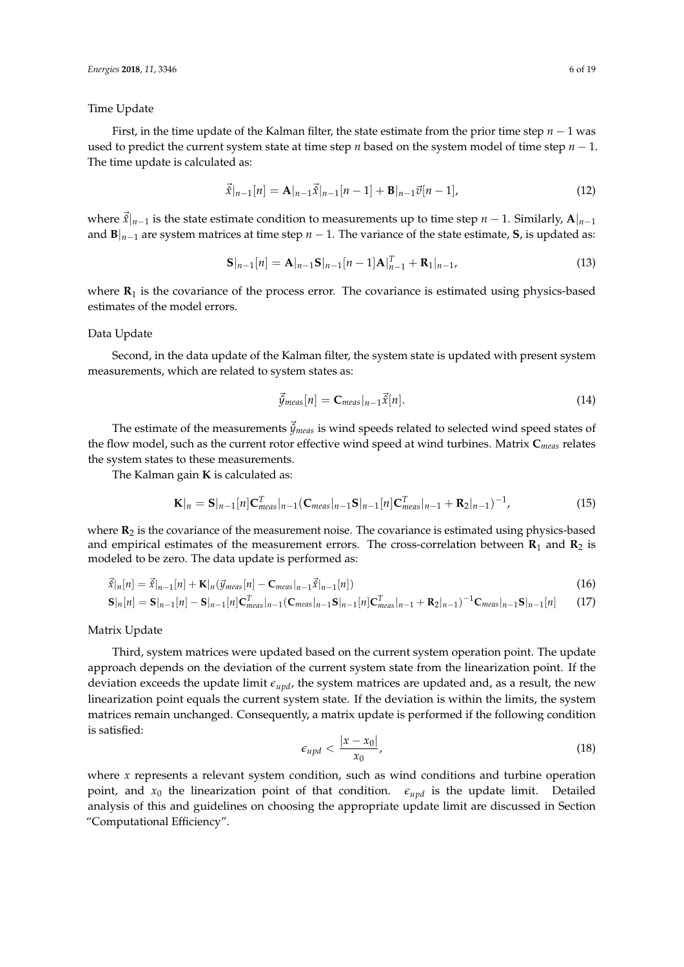Time Update

First, in the time update of the Kalman filter, the state estimate from the prior time step *n* − 1 was used to predict the current system state at time step *n* based on the system model of time step *n* − 1. The time update is calculated as:

$$
\vec{\hat{x}}|_{n-1}[n] = \mathbf{A}|_{n-1}\vec{\hat{x}}|_{n-1}[n-1] + \mathbf{B}|_{n-1}\vec{v}[n-1],
$$
\n(12)

where  $\vec{x}|_{n-1}$  is the state estimate condition to measurements up to time step *n* − 1. Similarly,  $\mathbf{A}|_{n-1}$ and **B** $|_{n-1}$  are system matrices at time step  $n-1$ . The variance of the state estimate, **S**, is updated as:

$$
\mathbf{S}|_{n-1}[n] = \mathbf{A}|_{n-1}\mathbf{S}|_{n-1}[n-1]\mathbf{A}|_{n-1}^T + \mathbf{R}_1|_{n-1},
$$
\n(13)

where  **is the covariance of the process error. The covariance is estimated using physics-based** estimates of the model errors.

#### Data Update

Second, in the data update of the Kalman filter, the system state is updated with present system measurements, which are related to system states as:

$$
\vec{\hat{y}}_{meas}[n] = \mathbf{C}_{meas}|_{n-1}\vec{\hat{x}}[n].\tag{14}
$$

The estimate of the measurements  $\vec{y}_{meas}$  is wind speeds related to selected wind speed states of the flow model, such as the current rotor effective wind speed at wind turbines. Matrix **C***meas* relates the system states to these measurements.

The Kalman gain **K** is calculated as:

$$
\mathbf{K}|_{n} = \mathbf{S}|_{n-1}[n] \mathbf{C}_{meas}^{T}|_{n-1} (\mathbf{C}_{meas}|_{n-1} \mathbf{S}|_{n-1}[n] \mathbf{C}_{meas}^{T}|_{n-1} + \mathbf{R}_{2}|_{n-1})^{-1},
$$
\n(15)

where  $\mathbf{R}_2$  is the covariance of the measurement noise. The covariance is estimated using physics-based and empirical estimates of the measurement errors. The cross-correlation between  $\mathbf{R}_1$  and  $\mathbf{R}_2$  is modeled to be zero. The data update is performed as:

$$
\vec{x}|_{n}[n] = \vec{x}|_{n-1}[n] + \mathbf{K}|_{n}(\vec{y}_{meas}[n] - \mathbf{C}_{meas}|_{n-1}\vec{x}|_{n-1}[n])
$$
\n(16)

$$
S|_{n}[n] = S|_{n-1}[n] - S|_{n-1}[n]C_{meas}^{T}|_{n-1}(C_{meas}|_{n-1}S|_{n-1}[n]C_{meas}^{T}|_{n-1} + R_{2}|_{n-1})^{-1}C_{meas}|_{n-1}S|_{n-1}[n] \qquad (17)
$$

Matrix Update

Third, system matrices were updated based on the current system operation point. The update approach depends on the deviation of the current system state from the linearization point. If the deviation exceeds the update limit *eupd*, the system matrices are updated and, as a result, the new linearization point equals the current system state. If the deviation is within the limits, the system matrices remain unchanged. Consequently, a matrix update is performed if the following condition is satisfied:

$$
\epsilon_{upd} < \frac{|x - x_0|}{x_0}, \tag{18}
$$

where *x* represents a relevant system condition, such as wind conditions and turbine operation point, and  $x_0$  the linearization point of that condition.  $\epsilon_{u p d}$  is the update limit. Detailed analysis of this and guidelines on choosing the appropriate update limit are discussed in Section "Computational Efficiency".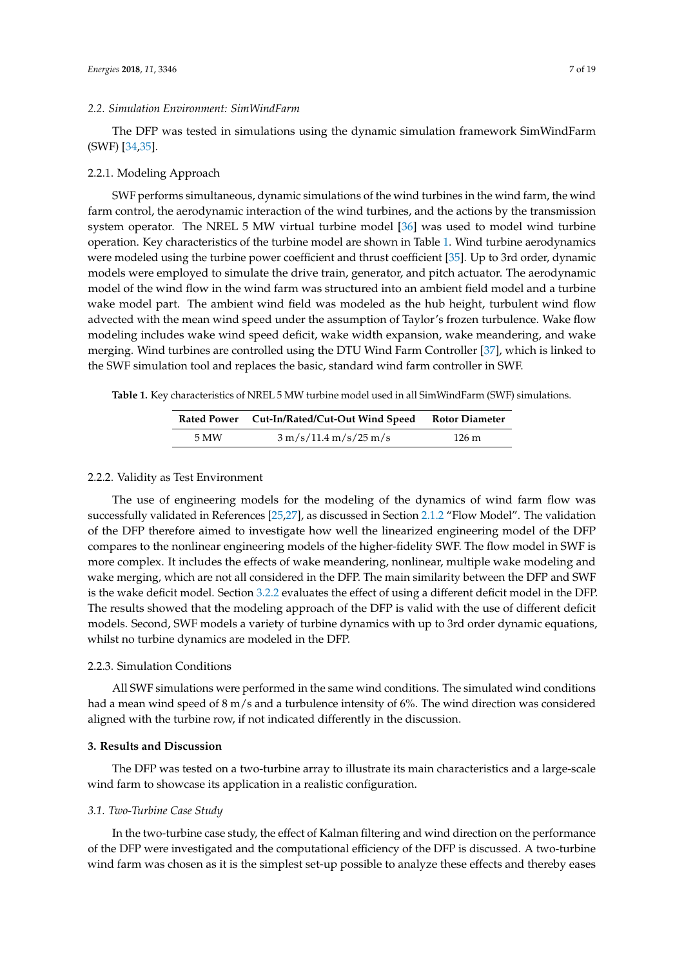### *2.2. Simulation Environment: SimWindFarm*

The DFP was tested in simulations using the dynamic simulation framework SimWindFarm (SWF) [\[34](#page-17-18)[,35\]](#page-17-19).

#### 2.2.1. Modeling Approach

SWF performs simultaneous, dynamic simulations of the wind turbines in the wind farm, the wind farm control, the aerodynamic interaction of the wind turbines, and the actions by the transmission system operator. The NREL 5 MW virtual turbine model [\[36\]](#page-18-0) was used to model wind turbine operation. Key characteristics of the turbine model are shown in Table [1.](#page-6-1) Wind turbine aerodynamics were modeled using the turbine power coefficient and thrust coefficient [\[35\]](#page-17-19). Up to 3rd order, dynamic models were employed to simulate the drive train, generator, and pitch actuator. The aerodynamic model of the wind flow in the wind farm was structured into an ambient field model and a turbine wake model part. The ambient wind field was modeled as the hub height, turbulent wind flow advected with the mean wind speed under the assumption of Taylor's frozen turbulence. Wake flow modeling includes wake wind speed deficit, wake width expansion, wake meandering, and wake merging. Wind turbines are controlled using the DTU Wind Farm Controller [\[37\]](#page-18-1), which is linked to the SWF simulation tool and replaces the basic, standard wind farm controller in SWF.

<span id="page-6-1"></span>**Table 1.** Key characteristics of NREL 5 MW turbine model used in all SimWindFarm (SWF) simulations.

| <b>Rated Power</b> | Cut-In/Rated/Cut-Out Wind Speed                 | <b>Rotor Diameter</b> |
|--------------------|-------------------------------------------------|-----------------------|
| 5 MW               | $3 \text{ m/s}/11.4 \text{ m/s}/25 \text{ m/s}$ | $126 \text{ m}$       |

#### 2.2.2. Validity as Test Environment

The use of engineering models for the modeling of the dynamics of wind farm flow was successfully validated in References [\[25](#page-17-9)[,27\]](#page-17-11), as discussed in Section [2.1.2](#page-3-2) "Flow Model". The validation of the DFP therefore aimed to investigate how well the linearized engineering model of the DFP compares to the nonlinear engineering models of the higher-fidelity SWF. The flow model in SWF is more complex. It includes the effects of wake meandering, nonlinear, multiple wake modeling and wake merging, which are not all considered in the DFP. The main similarity between the DFP and SWF is the wake deficit model. Section [3.2.2](#page-13-0) evaluates the effect of using a different deficit model in the DFP. The results showed that the modeling approach of the DFP is valid with the use of different deficit models. Second, SWF models a variety of turbine dynamics with up to 3rd order dynamic equations, whilst no turbine dynamics are modeled in the DFP.

#### 2.2.3. Simulation Conditions

All SWF simulations were performed in the same wind conditions. The simulated wind conditions had a mean wind speed of 8 m/s and a turbulence intensity of 6%. The wind direction was considered aligned with the turbine row, if not indicated differently in the discussion.

## <span id="page-6-0"></span>**3. Results and Discussion**

The DFP was tested on a two-turbine array to illustrate its main characteristics and a large-scale wind farm to showcase its application in a realistic configuration.

#### *3.1. Two-Turbine Case Study*

In the two-turbine case study, the effect of Kalman filtering and wind direction on the performance of the DFP were investigated and the computational efficiency of the DFP is discussed. A two-turbine wind farm was chosen as it is the simplest set-up possible to analyze these effects and thereby eases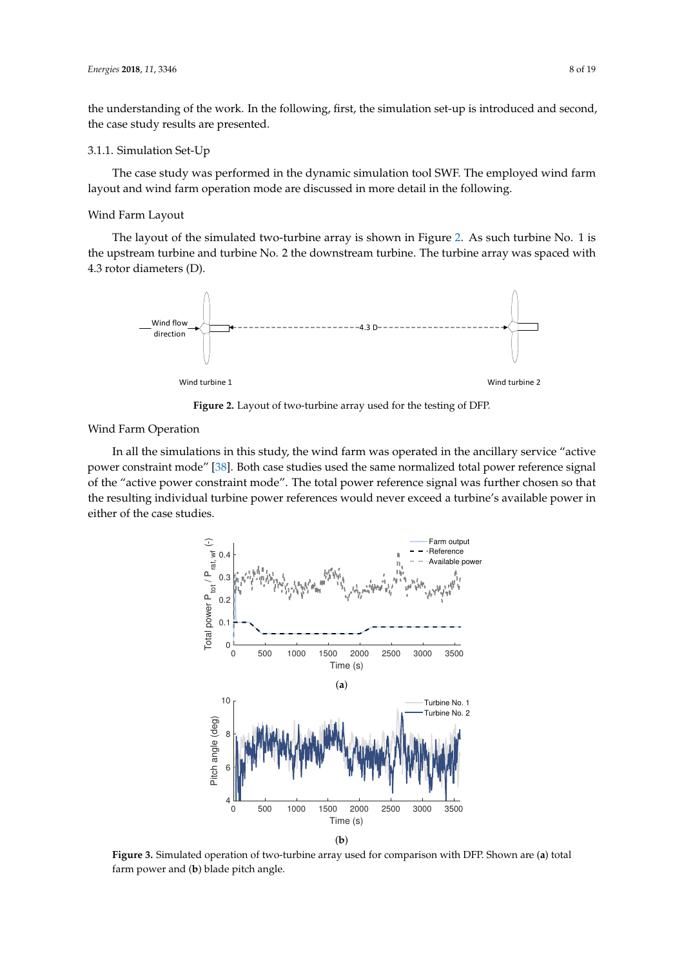the understanding of the work. In the following, first, the simulation set-up is introduced and second, the case study results are presented.

#### 3.1.1. Simulation Set-Up

The case study was performed in the dynamic simulation tool SWF. The employed wind farm layout and wind farm operation mode are discussed in more detail in the following.

## Wind Farm Layout

The layout of the simulated two-turbine array is shown in Figure [2.](#page-7-0) As such turbine No. 1 is the upstream turbine and turbine No. 2 the downstream turbine. The turbine array was spaced with 4.3 rotor diameters (D).

<span id="page-7-0"></span>

**Figure 2.** Layout of two-turbine array used for the testing of DFP.

## Wind Farm Operation

<span id="page-7-1"></span>In all the simulations in this study, the wind farm was operated in the ancillary service "active power constraint mode" [\[38\]](#page-18-2). Both case studies used the same normalized total power reference signal of the "active power constraint mode". The total power reference signal was further chosen so that the resulting individual turbine power references would never exceed a turbine's available power in either of the case studies.



**Figure 3.** Simulated operation of two-turbine array used for comparison with DFP. Shown are (**a**) total farm power and (**b**) blade pitch angle.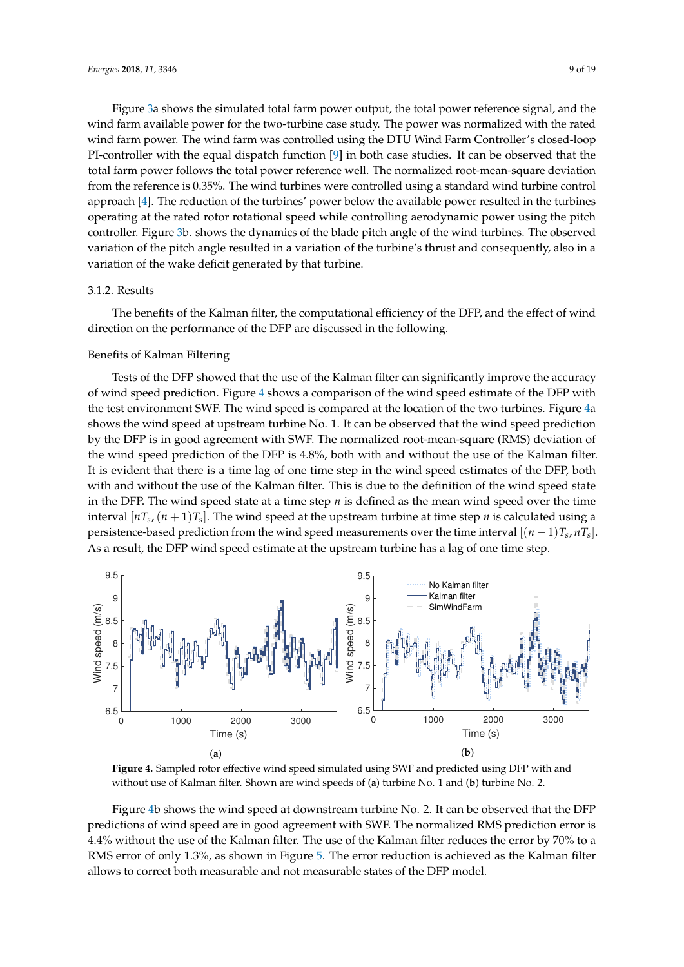Figure [3a](#page-7-1) shows the simulated total farm power output, the total power reference signal, and the wind farm available power for the two-turbine case study. The power was normalized with the rated wind farm power. The wind farm was controlled using the DTU Wind Farm Controller's closed-loop PI-controller with the equal dispatch function [\[9\]](#page-16-8) in both case studies. It can be observed that the total farm power follows the total power reference well. The normalized root-mean-square deviation from the reference is 0.35%. The wind turbines were controlled using a standard wind turbine control approach [\[4\]](#page-16-3). The reduction of the turbines' power below the available power resulted in the turbines operating at the rated rotor rotational speed while controlling aerodynamic power using the pitch controller. Figure [3b](#page-7-1). shows the dynamics of the blade pitch angle of the wind turbines. The observed variation of the pitch angle resulted in a variation of the turbine's thrust and consequently, also in a variation of the wake deficit generated by that turbine.

#### 3.1.2. Results

The benefits of the Kalman filter, the computational efficiency of the DFP, and the effect of wind direction on the performance of the DFP are discussed in the following.

#### Benefits of Kalman Filtering

Tests of the DFP showed that the use of the Kalman filter can significantly improve the accuracy of wind speed prediction. Figure [4](#page-8-0) shows a comparison of the wind speed estimate of the DFP with the test environment SWF. The wind speed is compared at the location of the two turbines. Figure [4a](#page-8-0) shows the wind speed at upstream turbine No. 1. It can be observed that the wind speed prediction by the DFP is in good agreement with SWF. The normalized root-mean-square (RMS) deviation of the wind speed prediction of the DFP is 4.8%, both with and without the use of the Kalman filter. It is evident that there is a time lag of one time step in the wind speed estimates of the DFP, both with and without the use of the Kalman filter. This is due to the definition of the wind speed state in the DFP. The wind speed state at a time step *n* is defined as the mean wind speed over the time interval  $[nT_{s}$ ,  $(n+1)T_{s}]$ . The wind speed at the upstream turbine at time step *n* is calculated using a persistence-based prediction from the wind speed measurements over the time interval  $[(n-1)T_s, nT_s]$ . As a result, the DFP wind speed estimate at the upstream turbine has a lag of one time step.

<span id="page-8-0"></span>

**Figure 4.** Sampled rotor effective wind speed simulated using SWF and predicted using DFP with and without use of Kalman filter. Shown are wind speeds of (**a**) turbine No. 1 and (**b**) turbine No. 2.

Figure [4b](#page-8-0) shows the wind speed at downstream turbine No. 2. It can be observed that the DFP predictions of wind speed are in good agreement with SWF. The normalized RMS prediction error is 4.4% without the use of the Kalman filter. The use of the Kalman filter reduces the error by 70% to a RMS error of only 1.3%, as shown in Figure [5.](#page-9-0) The error reduction is achieved as the Kalman filter allows to correct both measurable and not measurable states of the DFP model.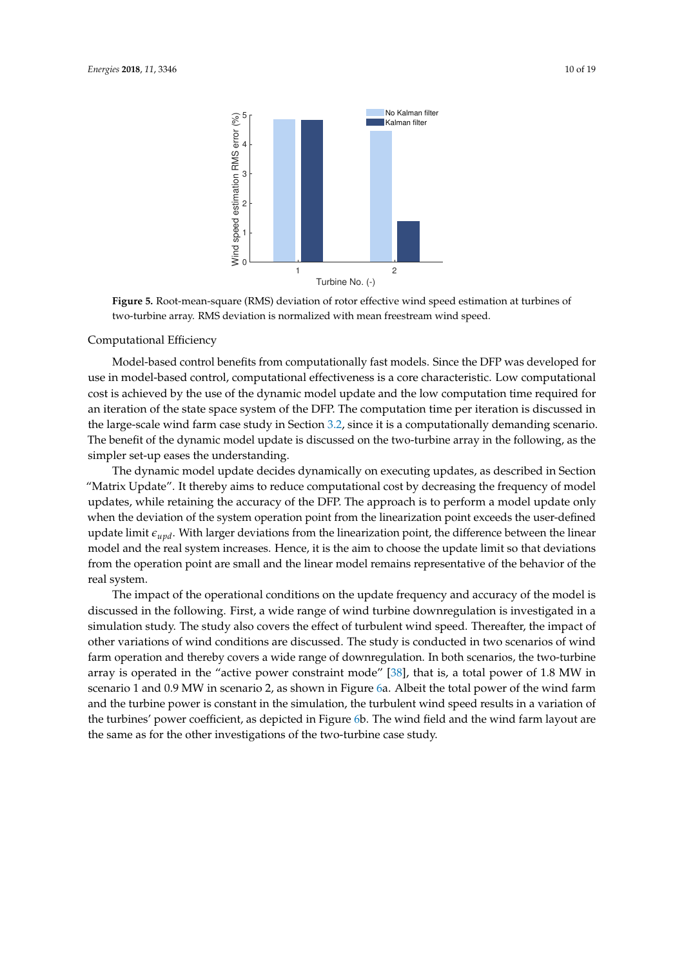<span id="page-9-0"></span>

**Figure 5.** Root-mean-square (RMS) deviation of rotor effective wind speed estimation at turbines of two-turbine array. RMS deviation is normalized with mean freestream wind speed.

#### Computational Efficiency

Model-based control benefits from computationally fast models. Since the DFP was developed for use in model-based control, computational effectiveness is a core characteristic. Low computational cost is achieved by the use of the dynamic model update and the low computation time required for an iteration of the state space system of the DFP. The computation time per iteration is discussed in the large-scale wind farm case study in Section [3.2,](#page-12-0) since it is a computationally demanding scenario. The benefit of the dynamic model update is discussed on the two-turbine array in the following, as the simpler set-up eases the understanding.

The dynamic model update decides dynamically on executing updates, as described in Section "Matrix Update". It thereby aims to reduce computational cost by decreasing the frequency of model updates, while retaining the accuracy of the DFP. The approach is to perform a model update only when the deviation of the system operation point from the linearization point exceeds the user-defined update limit  $\epsilon_{uvd}$ . With larger deviations from the linearization point, the difference between the linear model and the real system increases. Hence, it is the aim to choose the update limit so that deviations from the operation point are small and the linear model remains representative of the behavior of the real system.

The impact of the operational conditions on the update frequency and accuracy of the model is discussed in the following. First, a wide range of wind turbine downregulation is investigated in a simulation study. The study also covers the effect of turbulent wind speed. Thereafter, the impact of other variations of wind conditions are discussed. The study is conducted in two scenarios of wind farm operation and thereby covers a wide range of downregulation. In both scenarios, the two-turbine array is operated in the "active power constraint mode" [\[38\]](#page-18-2), that is, a total power of 1.8 MW in scenario 1 and 0.9 MW in scenario 2, as shown in Figure [6a](#page-10-0). Albeit the total power of the wind farm and the turbine power is constant in the simulation, the turbulent wind speed results in a variation of the turbines' power coefficient, as depicted in Figure [6b](#page-10-0). The wind field and the wind farm layout are the same as for the other investigations of the two-turbine case study.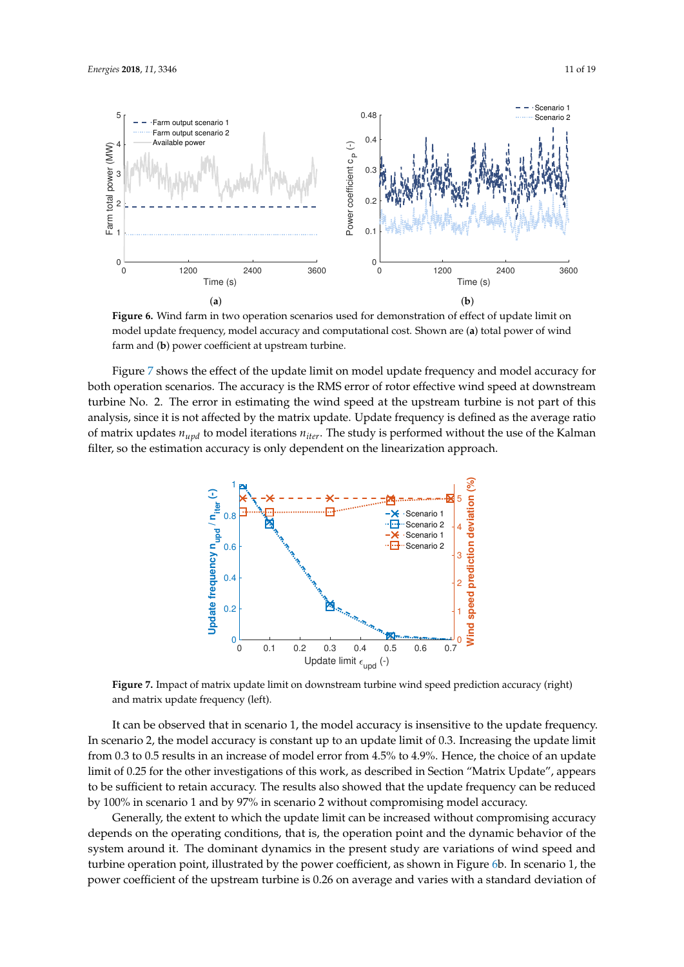<span id="page-10-0"></span>

**Figure 6.** Wind farm in two operation scenarios used for demonstration of effect of update limit on model update frequency, model accuracy and computational cost. Shown are (**a**) total power of wind farm and (**b**) power coefficient at upstream turbine.

<span id="page-10-1"></span>Figure [7](#page-10-1) shows the effect of the update limit on model update frequency and model accuracy for both operation scenarios. The accuracy is the RMS error of rotor effective wind speed at downstream turbine No. 2. The error in estimating the wind speed at the upstream turbine is not part of this analysis, since it is not affected by the matrix update. Update frequency is defined as the average ratio of matrix updates  $n_{und}$  to model iterations  $n_{iter}$ . The study is performed without the use of the Kalman filter, so the estimation accuracy is only dependent on the linearization approach.



**Figure 7.** Impact of matrix update limit on downstream turbine wind speed prediction accuracy (right) and matrix update frequency (left).

It can be observed that in scenario 1, the model accuracy is insensitive to the update frequency. In scenario 2, the model accuracy is constant up to an update limit of 0.3. Increasing the update limit from 0.3 to 0.5 results in an increase of model error from 4.5% to 4.9%. Hence, the choice of an update limit of 0.25 for the other investigations of this work, as described in Section "Matrix Update", appears to be sufficient to retain accuracy. The results also showed that the update frequency can be reduced by 100% in scenario 1 and by 97% in scenario 2 without compromising model accuracy.

Generally, the extent to which the update limit can be increased without compromising accuracy depends on the operating conditions, that is, the operation point and the dynamic behavior of the system around it. The dominant dynamics in the present study are variations of wind speed and turbine operation point, illustrated by the power coefficient, as shown in Figure [6b](#page-10-0). In scenario 1, the power coefficient of the upstream turbine is 0.26 on average and varies with a standard deviation of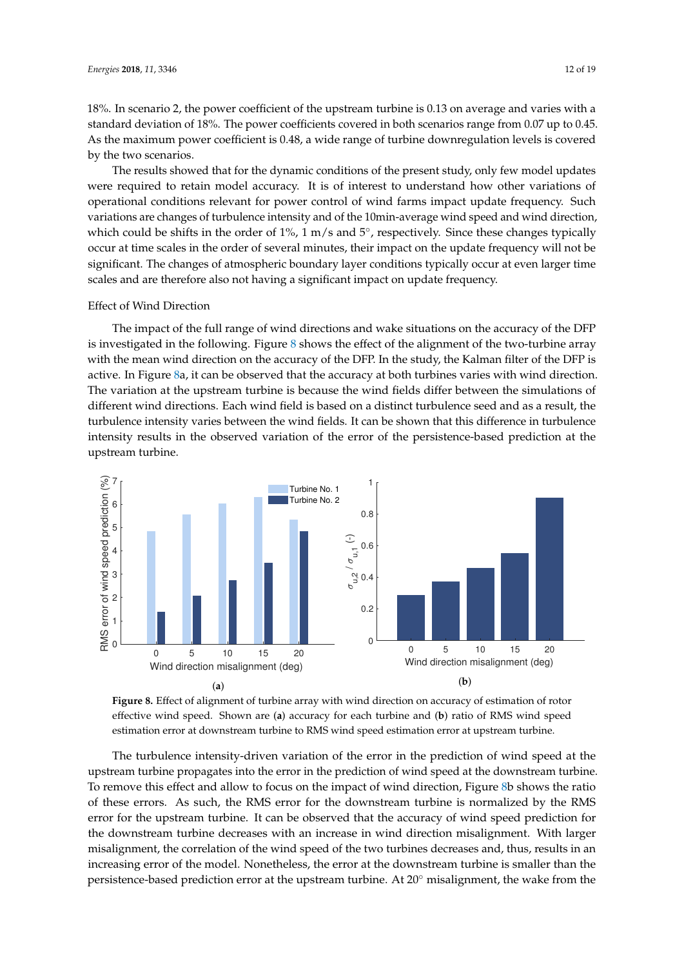18%. In scenario 2, the power coefficient of the upstream turbine is 0.13 on average and varies with a standard deviation of 18%. The power coefficients covered in both scenarios range from 0.07 up to 0.45. As the maximum power coefficient is 0.48, a wide range of turbine downregulation levels is covered by the two scenarios.

The results showed that for the dynamic conditions of the present study, only few model updates were required to retain model accuracy. It is of interest to understand how other variations of operational conditions relevant for power control of wind farms impact update frequency. Such variations are changes of turbulence intensity and of the 10min-average wind speed and wind direction, which could be shifts in the order of 1%, 1 m/s and 5°, respectively. Since these changes typically occur at time scales in the order of several minutes, their impact on the update frequency will not be significant. The changes of atmospheric boundary layer conditions typically occur at even larger time scales and are therefore also not having a significant impact on update frequency.

## Effect of Wind Direction

The impact of the full range of wind directions and wake situations on the accuracy of the DFP is investigated in the following. Figure  $8$  shows the effect of the alignment of the two-turbine array with the mean wind direction on the accuracy of the DFP. In the study, the Kalman filter of the DFP is active. In Figure [8a](#page-11-0), it can be observed that the accuracy at both turbines varies with wind direction. The variation at the upstream turbine is because the wind fields differ between the simulations of different wind directions. Each wind field is based on a distinct turbulence seed and as a result, the turbulence intensity varies between the wind fields. It can be shown that this difference in turbulence intensity results in the observed variation of the error of the persistence-based prediction at the upstream turbine.

<span id="page-11-0"></span>

**Figure 8.** Effect of alignment of turbine array with wind direction on accuracy of estimation of rotor effective wind speed. Shown are (**a**) accuracy for each turbine and (**b**) ratio of RMS wind speed estimation error at downstream turbine to RMS wind speed estimation error at upstream turbine.

The turbulence intensity-driven variation of the error in the prediction of wind speed at the upstream turbine propagates into the error in the prediction of wind speed at the downstream turbine. To remove this effect and allow to focus on the impact of wind direction, Figure [8b](#page-11-0) shows the ratio of these errors. As such, the RMS error for the downstream turbine is normalized by the RMS error for the upstream turbine. It can be observed that the accuracy of wind speed prediction for the downstream turbine decreases with an increase in wind direction misalignment. With larger misalignment, the correlation of the wind speed of the two turbines decreases and, thus, results in an increasing error of the model. Nonetheless, the error at the downstream turbine is smaller than the persistence-based prediction error at the upstream turbine. At 20◦ misalignment, the wake from the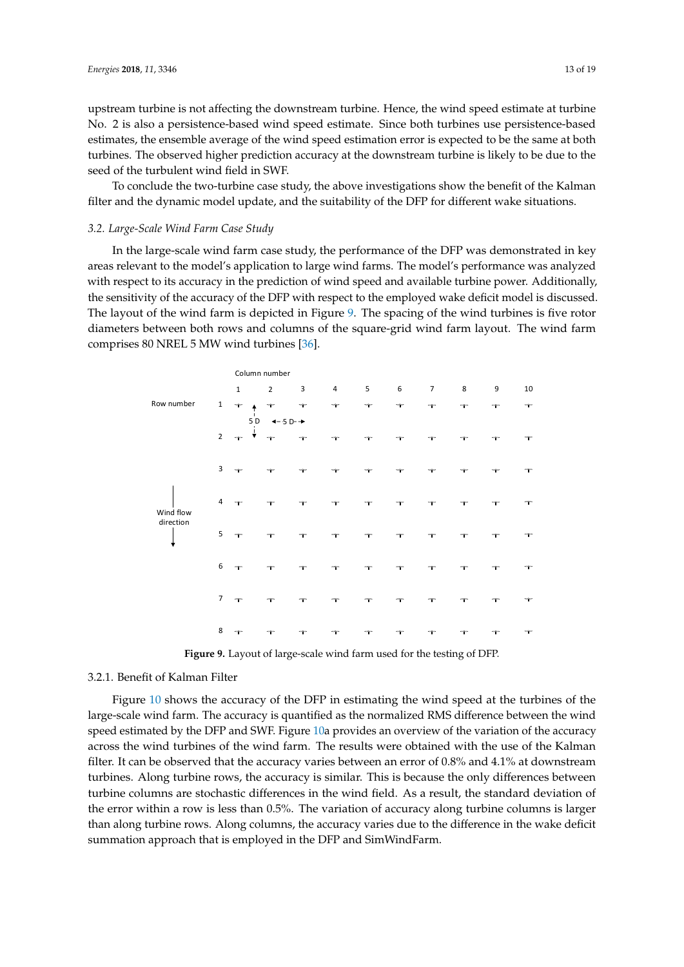upstream turbine is not affecting the downstream turbine. Hence, the wind speed estimate at turbine No. 2 is also a persistence-based wind speed estimate. Since both turbines use persistence-based estimates, the ensemble average of the wind speed estimation error is expected to be the same at both turbines. The observed higher prediction accuracy at the downstream turbine is likely to be due to the seed of the turbulent wind field in SWF.

To conclude the two-turbine case study, the above investigations show the benefit of the Kalman filter and the dynamic model update, and the suitability of the DFP for different wake situations.

#### <span id="page-12-0"></span>*3.2. Large-Scale Wind Farm Case Study*

In the large-scale wind farm case study, the performance of the DFP was demonstrated in key areas relevant to the model's application to large wind farms. The model's performance was analyzed with respect to its accuracy in the prediction of wind speed and available turbine power. Additionally, the sensitivity of the accuracy of the DFP with respect to the employed wake deficit model is discussed. The layout of the wind farm is depicted in Figure [9.](#page-12-1) The spacing of the wind turbines is five rotor diameters between both rows and columns of the square-grid wind farm layout. The wind farm comprises 80 NREL 5 MW wind turbines [\[36\]](#page-18-0).

<span id="page-12-1"></span>

|                             |                                                  |                               | Column number  |                |                |   |   |                |   |   |    |  |  |
|-----------------------------|--------------------------------------------------|-------------------------------|----------------|----------------|----------------|---|---|----------------|---|---|----|--|--|
|                             |                                                  | $\mathbf{1}$                  | $\overline{2}$ | $\overline{3}$ | $\overline{4}$ | 5 | 6 | $\overline{7}$ | 8 | 9 | 10 |  |  |
| Row number                  | $\mathbf{1}$                                     | $\overline{\phantom{a}}$<br>ţ | ┯              | $\mathbf +$    | ÷              | ╼ | ⊸ | ⊸              | ÷ | ÷ | ÷  |  |  |
|                             | $\frac{5}{1}$<br>$\leftarrow$ 5 D- $\rightarrow$ |                               |                |                |                |   |   |                |   |   |    |  |  |
| Wind flow<br>direction<br>÷ | $2^{\circ}$                                      | $\rightarrow$                 | ÷              | ÷              | $\mathbf +$    | ╼ | ÷ | ÷              | ┯ | ╼ | ╼  |  |  |
|                             | $\mathbf{3}$                                     | ÷                             | ╼              | ≁              | ┭              | ÷ |   |                |   | ╼ | ≘  |  |  |
|                             | $\overline{4}$                                   | ÷                             | ╼              | ←              | ┯              | ← | ≁ | ≁              | ≁ | ╼ | ←  |  |  |
|                             | 5 <sub>5</sub>                                   | ÷                             | ╼              | ⇔              | ┭              |   |   |                |   | ≘ | ≘  |  |  |
|                             | 6                                                | ÷                             | ⇔              | ⇔              | ┯              | ⇔ | ┯ | ┯              | ┯ | ÷ | ←  |  |  |
|                             | $\overline{7}$                                   | ┯                             | ⇔              | ⇺              |                |   |   |                |   | ⊕ | ╼  |  |  |
|                             | 8                                                | ┯                             | ┯              |                | Ť              |   |   |                |   |   | ┯  |  |  |

**Figure 9.** Layout of large-scale wind farm used for the testing of DFP.

#### 3.2.1. Benefit of Kalman Filter

Figure [10](#page-13-1) shows the accuracy of the DFP in estimating the wind speed at the turbines of the large-scale wind farm. The accuracy is quantified as the normalized RMS difference between the wind speed estimated by the DFP and SWF. Figure [10a](#page-13-1) provides an overview of the variation of the accuracy across the wind turbines of the wind farm. The results were obtained with the use of the Kalman filter. It can be observed that the accuracy varies between an error of 0.8% and 4.1% at downstream turbines. Along turbine rows, the accuracy is similar. This is because the only differences between turbine columns are stochastic differences in the wind field. As a result, the standard deviation of the error within a row is less than 0.5%. The variation of accuracy along turbine columns is larger than along turbine rows. Along columns, the accuracy varies due to the difference in the wake deficit summation approach that is employed in the DFP and SimWindFarm.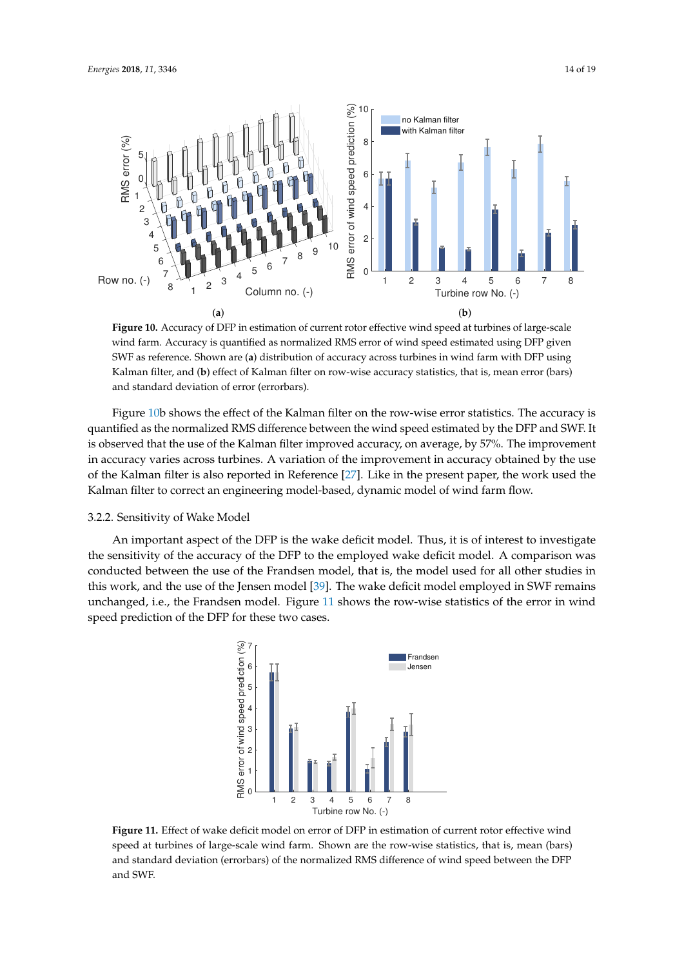<span id="page-13-1"></span>

**Figure 10.** Accuracy of DFP in estimation of current rotor effective wind speed at turbines of large-scale wind farm. Accuracy is quantified as normalized RMS error of wind speed estimated using DFP given SWF as reference. Shown are (**a**) distribution of accuracy across turbines in wind farm with DFP using Kalman filter, and (**b**) effect of Kalman filter on row-wise accuracy statistics, that is, mean error (bars) and standard deviation of error (errorbars).

Figure [10b](#page-13-1) shows the effect of the Kalman filter on the row-wise error statistics. The accuracy is quantified as the normalized RMS difference between the wind speed estimated by the DFP and SWF. It is observed that the use of the Kalman filter improved accuracy, on average, by 57%. The improvement in accuracy varies across turbines. A variation of the improvement in accuracy obtained by the use of the Kalman filter is also reported in Reference [\[27\]](#page-17-11). Like in the present paper, the work used the Kalman filter to correct an engineering model-based, dynamic model of wind farm flow.

## <span id="page-13-0"></span>3.2.2. Sensitivity of Wake Model

<span id="page-13-2"></span>An important aspect of the DFP is the wake deficit model. Thus, it is of interest to investigate the sensitivity of the accuracy of the DFP to the employed wake deficit model. A comparison was conducted between the use of the Frandsen model, that is, the model used for all other studies in this work, and the use of the Jensen model [\[39\]](#page-18-3). The wake deficit model employed in SWF remains unchanged, i.e., the Frandsen model. Figure [11](#page-13-2) shows the row-wise statistics of the error in wind speed prediction of the DFP for these two cases.



**Figure 11.** Effect of wake deficit model on error of DFP in estimation of current rotor effective wind speed at turbines of large-scale wind farm. Shown are the row-wise statistics, that is, mean (bars) and standard deviation (errorbars) of the normalized RMS difference of wind speed between the DFP and SWF.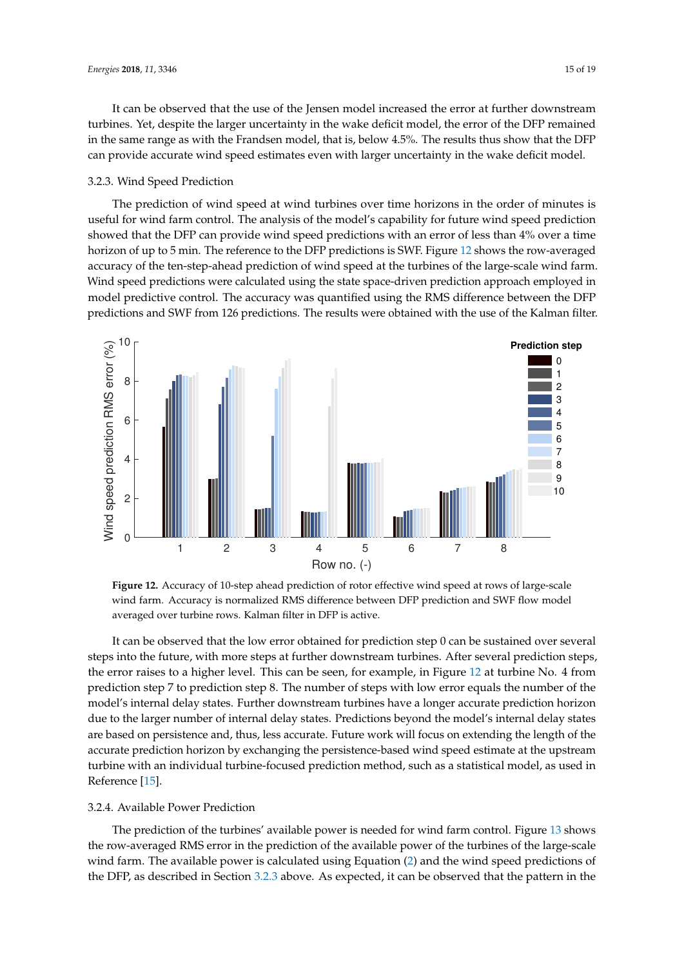It can be observed that the use of the Jensen model increased the error at further downstream turbines. Yet, despite the larger uncertainty in the wake deficit model, the error of the DFP remained in the same range as with the Frandsen model, that is, below 4.5%. The results thus show that the DFP can provide accurate wind speed estimates even with larger uncertainty in the wake deficit model.

## <span id="page-14-1"></span>3.2.3. Wind Speed Prediction

The prediction of wind speed at wind turbines over time horizons in the order of minutes is useful for wind farm control. The analysis of the model's capability for future wind speed prediction showed that the DFP can provide wind speed predictions with an error of less than 4% over a time horizon of up to 5 min. The reference to the DFP predictions is SWF. Figure [12](#page-14-0) shows the row-averaged accuracy of the ten-step-ahead prediction of wind speed at the turbines of the large-scale wind farm. Wind speed predictions were calculated using the state space-driven prediction approach employed in model predictive control. The accuracy was quantified using the RMS difference between the DFP predictions and SWF from 126 predictions. The results were obtained with the use of the Kalman filter.

<span id="page-14-0"></span>

**Figure 12.** Accuracy of 10-step ahead prediction of rotor effective wind speed at rows of large-scale wind farm. Accuracy is normalized RMS difference between DFP prediction and SWF flow model averaged over turbine rows. Kalman filter in DFP is active.

It can be observed that the low error obtained for prediction step 0 can be sustained over several steps into the future, with more steps at further downstream turbines. After several prediction steps, the error raises to a higher level. This can be seen, for example, in Figure [12](#page-14-0) at turbine No. 4 from prediction step 7 to prediction step 8. The number of steps with low error equals the number of the model's internal delay states. Further downstream turbines have a longer accurate prediction horizon due to the larger number of internal delay states. Predictions beyond the model's internal delay states are based on persistence and, thus, less accurate. Future work will focus on extending the length of the accurate prediction horizon by exchanging the persistence-based wind speed estimate at the upstream turbine with an individual turbine-focused prediction method, such as a statistical model, as used in Reference [\[15\]](#page-17-1).

#### 3.2.4. Available Power Prediction

The prediction of the turbines' available power is needed for wind farm control. Figure [13](#page-15-1) shows the row-averaged RMS error in the prediction of the available power of the turbines of the large-scale wind farm. The available power is calculated using Equation [\(2\)](#page-2-1) and the wind speed predictions of the DFP, as described in Section [3.2.3](#page-14-1) above. As expected, it can be observed that the pattern in the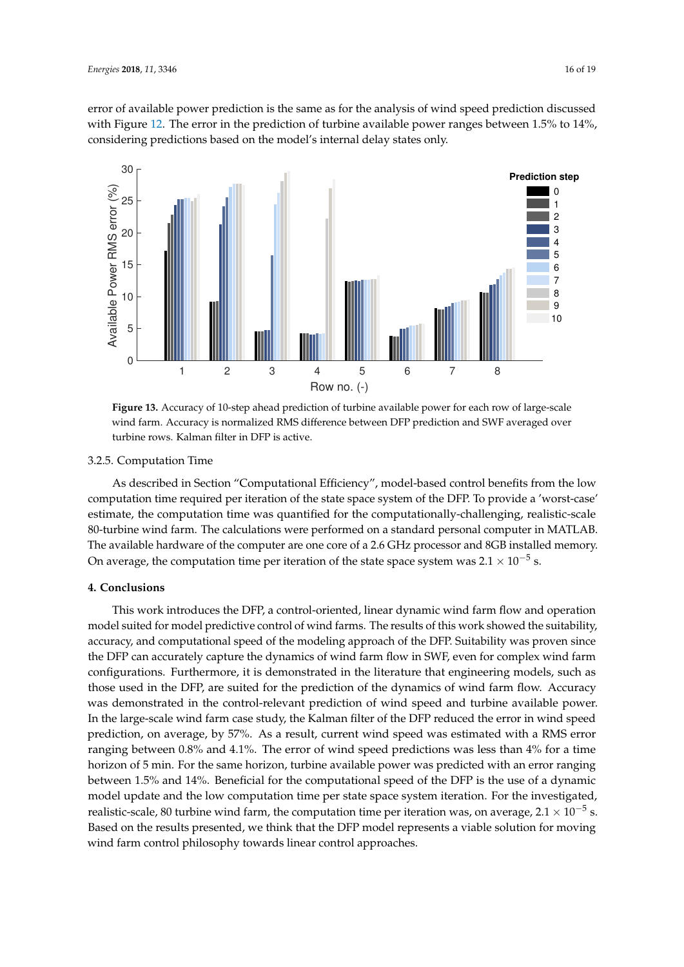error of available power prediction is the same as for the analysis of wind speed prediction discussed with Figure [12.](#page-14-0) The error in the prediction of turbine available power ranges between 1.5% to 14%, considering predictions based on the model's internal delay states only.

<span id="page-15-1"></span>

**Figure 13.** Accuracy of 10-step ahead prediction of turbine available power for each row of large-scale wind farm. Accuracy is normalized RMS difference between DFP prediction and SWF averaged over turbine rows. Kalman filter in DFP is active.

## 3.2.5. Computation Time

As described in Section "Computational Efficiency", model-based control benefits from the low computation time required per iteration of the state space system of the DFP. To provide a 'worst-case' estimate, the computation time was quantified for the computationally-challenging, realistic-scale 80-turbine wind farm. The calculations were performed on a standard personal computer in MATLAB. The available hardware of the computer are one core of a 2.6 GHz processor and 8GB installed memory. On average, the computation time per iteration of the state space system was 2.1  $\times$  10<sup>-5</sup> s.

## <span id="page-15-0"></span>**4. Conclusions**

This work introduces the DFP, a control-oriented, linear dynamic wind farm flow and operation model suited for model predictive control of wind farms. The results of this work showed the suitability, accuracy, and computational speed of the modeling approach of the DFP. Suitability was proven since the DFP can accurately capture the dynamics of wind farm flow in SWF, even for complex wind farm configurations. Furthermore, it is demonstrated in the literature that engineering models, such as those used in the DFP, are suited for the prediction of the dynamics of wind farm flow. Accuracy was demonstrated in the control-relevant prediction of wind speed and turbine available power. In the large-scale wind farm case study, the Kalman filter of the DFP reduced the error in wind speed prediction, on average, by 57%. As a result, current wind speed was estimated with a RMS error ranging between 0.8% and 4.1%. The error of wind speed predictions was less than 4% for a time horizon of 5 min. For the same horizon, turbine available power was predicted with an error ranging between 1.5% and 14%. Beneficial for the computational speed of the DFP is the use of a dynamic model update and the low computation time per state space system iteration. For the investigated, realistic-scale, 80 turbine wind farm, the computation time per iteration was, on average, 2.1  $\times$  10<sup>-5</sup> s. Based on the results presented, we think that the DFP model represents a viable solution for moving wind farm control philosophy towards linear control approaches.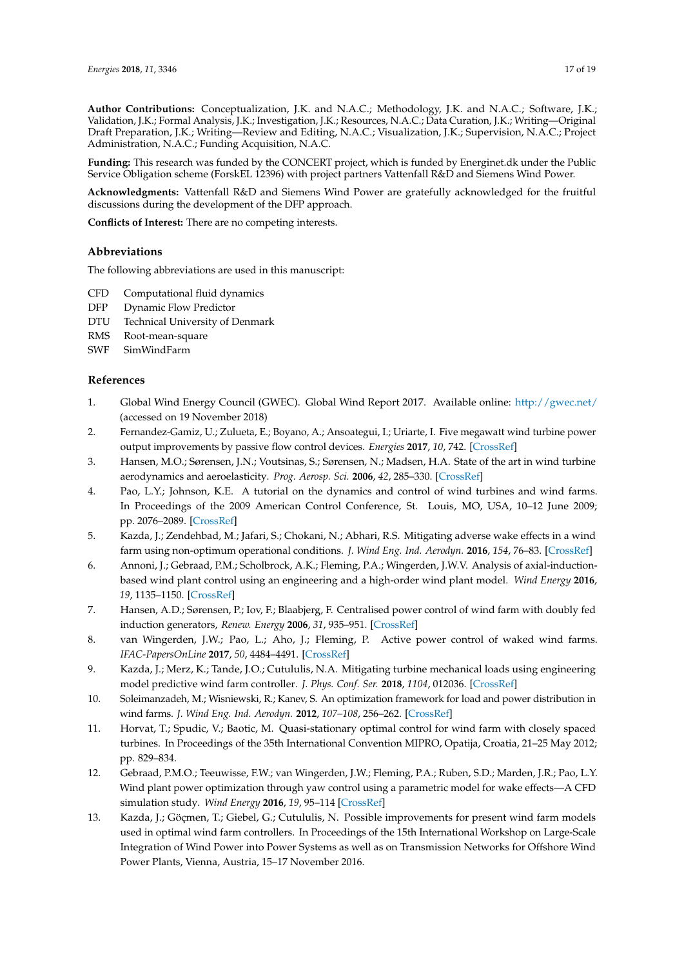**Author Contributions:** Conceptualization, J.K. and N.A.C.; Methodology, J.K. and N.A.C.; Software, J.K.; Validation, J.K.; Formal Analysis, J.K.; Investigation, J.K.; Resources, N.A.C.; Data Curation, J.K.; Writing—Original Draft Preparation, J.K.; Writing—Review and Editing, N.A.C.; Visualization, J.K.; Supervision, N.A.C.; Project Administration, N.A.C.; Funding Acquisition, N.A.C.

**Funding:** This research was funded by the CONCERT project, which is funded by Energinet.dk under the Public Service Obligation scheme (ForskEL 12396) with project partners Vattenfall R&D and Siemens Wind Power.

**Acknowledgments:** Vattenfall R&D and Siemens Wind Power are gratefully acknowledged for the fruitful discussions during the development of the DFP approach.

**Conflicts of Interest:** There are no competing interests.

## **Abbreviations**

The following abbreviations are used in this manuscript:

- CFD Computational fluid dynamics
- DFP Dynamic Flow Predictor
- DTU Technical University of Denmark
- RMS Root-mean-square
- SWF SimWindFarm

## **References**

- <span id="page-16-0"></span>1. Global Wind Energy Council (GWEC). Global Wind Report 2017. Available online: <http://gwec.net/> (accessed on 19 November 2018)
- <span id="page-16-1"></span>2. Fernandez-Gamiz, U.; Zulueta, E.; Boyano, A.; Ansoategui, I.; Uriarte, I. Five megawatt wind turbine power output improvements by passive flow control devices. *Energies* **2017**, *10*, 742. [\[CrossRef\]](http://dx.doi.org/10.3390/en10060742)
- <span id="page-16-2"></span>3. Hansen, M.O.; Sørensen, J.N.; Voutsinas, S.; Sørensen, N.; Madsen, H.A. State of the art in wind turbine aerodynamics and aeroelasticity. *Prog. Aerosp. Sci.* **2006**, *42*, 285–330. [\[CrossRef\]](http://dx.doi.org/10.1016/j.paerosci.2006.10.002)
- <span id="page-16-3"></span>4. Pao, L.Y.; Johnson, K.E. A tutorial on the dynamics and control of wind turbines and wind farms. In Proceedings of the 2009 American Control Conference, St. Louis, MO, USA, 10–12 June 2009; pp. 2076–2089. [\[CrossRef\]](http://dx.doi.org/10.1109/acc.2009.5160195)
- <span id="page-16-4"></span>5. Kazda, J.; Zendehbad, M.; Jafari, S.; Chokani, N.; Abhari, R.S. Mitigating adverse wake effects in a wind farm using non-optimum operational conditions. *J. Wind Eng. Ind. Aerodyn.* **2016**, *154*, 76–83. [\[CrossRef\]](http://dx.doi.org/10.1016/j.jweia.2016.04.004)
- <span id="page-16-5"></span>6. Annoni, J.; Gebraad, P.M.; Scholbrock, A.K.; Fleming, P.A.; Wingerden, J.W.V. Analysis of axial-inductionbased wind plant control using an engineering and a high-order wind plant model. *Wind Energy* **2016**, *19*, 1135–1150. [\[CrossRef\]](http://dx.doi.org/10.1002/we.1891)
- <span id="page-16-6"></span>7. Hansen, A.D.; Sørensen, P.; Iov, F.; Blaabjerg, F. Centralised power control of wind farm with doubly fed induction generators, *Renew. Energy* **2006**, *31*, 935–951. [\[CrossRef\]](http://dx.doi.org/10.1016/j.renene.2005.05.011)
- <span id="page-16-7"></span>8. van Wingerden, J.W.; Pao, L.; Aho, J.; Fleming, P. Active power control of waked wind farms. *IFAC-PapersOnLine* **2017**, *50*, 4484–4491. [\[CrossRef\]](http://dx.doi.org/10.1016/j.ifacol.2017.08.378)
- <span id="page-16-8"></span>9. Kazda, J.; Merz, K.; Tande, J.O.; Cutululis, N.A. Mitigating turbine mechanical loads using engineering model predictive wind farm controller. *J. Phys. Conf. Ser.* **2018**, *1104*, 012036. [\[CrossRef\]](http://dx.doi.org/10.1088/1742-6596/1104/1/012036)
- 10. Soleimanzadeh, M.; Wisniewski, R.; Kanev, S. An optimization framework for load and power distribution in wind farms. *J. Wind Eng. Ind. Aerodyn.* **2012**, *107–108*, 256–262. [\[CrossRef\]](http://dx.doi.org/10.1016/j.jweia.2012.04.024)
- <span id="page-16-9"></span>11. Horvat, T.; Spudic, V.; Baotic, M. Quasi-stationary optimal control for wind farm with closely spaced turbines. In Proceedings of the 35th International Convention MIPRO, Opatija, Croatia, 21–25 May 2012; pp. 829–834.
- <span id="page-16-10"></span>12. Gebraad, P.M.O.; Teeuwisse, F.W.; van Wingerden, J.W.; Fleming, P.A.; Ruben, S.D.; Marden, J.R.; Pao, L.Y. Wind plant power optimization through yaw control using a parametric model for wake effects—A CFD simulation study. *Wind Energy* **2016**, *19*, 95–114 [\[CrossRef\]](http://dx.doi.org/10.1002/we.1822)
- <span id="page-16-11"></span>13. Kazda, J.; Göçmen, T.; Giebel, G.; Cutululis, N. Possible improvements for present wind farm models used in optimal wind farm controllers. In Proceedings of the 15th International Workshop on Large-Scale Integration of Wind Power into Power Systems as well as on Transmission Networks for Offshore Wind Power Plants, Vienna, Austria, 15–17 November 2016.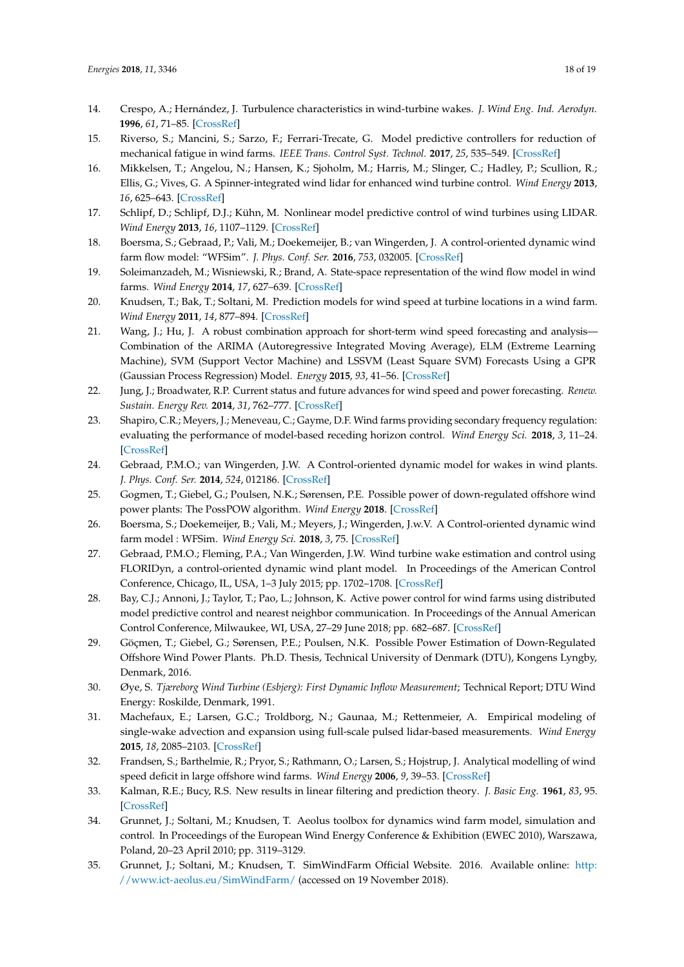- <span id="page-17-0"></span>14. Crespo, A.; Hernández, J. Turbulence characteristics in wind-turbine wakes. *J. Wind Eng. Ind. Aerodyn.* **1996**, *61*, 71–85. [\[CrossRef\]](http://dx.doi.org/10.1016/0167-6105(95)00033-X)
- <span id="page-17-1"></span>15. Riverso, S.; Mancini, S.; Sarzo, F.; Ferrari-Trecate, G. Model predictive controllers for reduction of mechanical fatigue in wind farms. *IEEE Trans. Control Syst. Technol.* **2017**, *25*, 535–549. [\[CrossRef\]](http://dx.doi.org/10.1109/TCST.2016.2572170)
- 16. Mikkelsen, T.; Angelou, N.; Hansen, K.; Sjoholm, M.; Harris, M.; Slinger, C.; Hadley, P.; Scullion, R.; Ellis, G.; Vives, G. A Spinner-integrated wind lidar for enhanced wind turbine control. *Wind Energy* **2013**, *16*, 625–643. [\[CrossRef\]](http://dx.doi.org/10.1002/we.1564)
- <span id="page-17-2"></span>17. Schlipf, D.; Schlipf, D.J.; Kühn, M. Nonlinear model predictive control of wind turbines using LIDAR. *Wind Energy* **2013**, *16*, 1107–1129. [\[CrossRef\]](http://dx.doi.org/10.1002/we.1533)
- <span id="page-17-3"></span>18. Boersma, S.; Gebraad, P.; Vali, M.; Doekemeijer, B.; van Wingerden, J. A control-oriented dynamic wind farm flow model: "WFSim". *J. Phys. Conf. Ser.* **2016**, *753*, 032005. [\[CrossRef\]](http://dx.doi.org/10.1088/1742-6596/753/3/032005)
- <span id="page-17-4"></span>19. Soleimanzadeh, M.; Wisniewski, R.; Brand, A. State-space representation of the wind flow model in wind farms. *Wind Energy* **2014**, *17*, 627–639. [\[CrossRef\]](http://dx.doi.org/10.1002/we.1594)
- <span id="page-17-5"></span>20. Knudsen, T.; Bak, T.; Soltani, M. Prediction models for wind speed at turbine locations in a wind farm. *Wind Energy* **2011**, *14*, 877–894. [\[CrossRef\]](http://dx.doi.org/10.1002/we.491)
- <span id="page-17-6"></span>21. Wang, J.; Hu, J. A robust combination approach for short-term wind speed forecasting and analysis— Combination of the ARIMA (Autoregressive Integrated Moving Average), ELM (Extreme Learning Machine), SVM (Support Vector Machine) and LSSVM (Least Square SVM) Forecasts Using a GPR (Gaussian Process Regression) Model. *Energy* **2015**, *93*, 41–56. [\[CrossRef\]](http://dx.doi.org/10.1016/j.energy.2015.08.045)
- <span id="page-17-7"></span>22. Jung, J.; Broadwater, R.P. Current status and future advances for wind speed and power forecasting. *Renew. Sustain. Energy Rev.* **2014**, *31*, 762–777. [\[CrossRef\]](http://dx.doi.org/10.1016/j.rser.2013.12.054)
- <span id="page-17-8"></span>23. Shapiro, C.R.; Meyers, J.; Meneveau, C.; Gayme, D.F. Wind farms providing secondary frequency regulation: evaluating the performance of model-based receding horizon control. *Wind Energy Sci.* **2018**, *3*, 11–24. [\[CrossRef\]](http://dx.doi.org/10.5194/wes-3-11-2018)
- 24. Gebraad, P.M.O.; van Wingerden, J.W. A Control-oriented dynamic model for wakes in wind plants. *J. Phys. Conf. Ser.* **2014**, *524*, 012186. [\[CrossRef\]](http://dx.doi.org/10.1088/1742-6596/524/1/012186)
- <span id="page-17-9"></span>25. Gogmen, T.; Giebel, G.; Poulsen, N.K.; Sørensen, P.E. Possible power of down-regulated offshore wind power plants: The PossPOW algorithm. *Wind Energy* **2018**. [\[CrossRef\]](http://dx.doi.org/10.1002/we.2279)
- <span id="page-17-10"></span>26. Boersma, S.; Doekemeijer, B.; Vali, M.; Meyers, J.; Wingerden, J.w.V. A Control-oriented dynamic wind farm model : WFSim. *Wind Energy Sci.* **2018**, *3*, 75. [\[CrossRef\]](http://dx.doi.org/10.5194/wes-3-75-2018)
- <span id="page-17-11"></span>27. Gebraad, P.M.O.; Fleming, P.A.; Van Wingerden, J.W. Wind turbine wake estimation and control using FLORIDyn, a control-oriented dynamic wind plant model. In Proceedings of the American Control Conference, Chicago, IL, USA, 1–3 July 2015; pp. 1702–1708. [\[CrossRef\]](http://dx.doi.org/10.1109/ACC.2015.7170978)
- <span id="page-17-12"></span>28. Bay, C.J.; Annoni, J.; Taylor, T.; Pao, L.; Johnson, K. Active power control for wind farms using distributed model predictive control and nearest neighbor communication. In Proceedings of the Annual American Control Conference, Milwaukee, WI, USA, 27–29 June 2018; pp. 682–687. [\[CrossRef\]](http://dx.doi.org/10.23919/ACC.2018.8431764)
- <span id="page-17-13"></span>29. Göçmen, T.; Giebel, G.; Sørensen, P.E.; Poulsen, N.K. Possible Power Estimation of Down-Regulated Offshore Wind Power Plants. Ph.D. Thesis, Technical University of Denmark (DTU), Kongens Lyngby, Denmark, 2016.
- <span id="page-17-14"></span>30. Øye, S. *Tjæreborg Wind Turbine (Esbjerg): First Dynamic Inflow Measurement*; Technical Report; DTU Wind Energy: Roskilde, Denmark, 1991.
- <span id="page-17-15"></span>31. Machefaux, E.; Larsen, G.C.; Troldborg, N.; Gaunaa, M.; Rettenmeier, A. Empirical modeling of single-wake advection and expansion using full-scale pulsed lidar-based measurements. *Wind Energy* **2015**, *18*, 2085–2103. [\[CrossRef\]](http://dx.doi.org/10.1002/we.1805)
- <span id="page-17-16"></span>32. Frandsen, S.; Barthelmie, R.; Pryor, S.; Rathmann, O.; Larsen, S.; Hojstrup, J. Analytical modelling of wind speed deficit in large offshore wind farms. *Wind Energy* **2006**, *9*, 39–53. [\[CrossRef\]](http://dx.doi.org/10.1002/we.189)
- <span id="page-17-17"></span>33. Kalman, R.E.; Bucy, R.S. New results in linear filtering and prediction theory. *J. Basic Eng.* **1961**, *83*, 95. [\[CrossRef\]](http://dx.doi.org/10.1115/1.3658902)
- <span id="page-17-18"></span>34. Grunnet, J.; Soltani, M.; Knudsen, T. Aeolus toolbox for dynamics wind farm model, simulation and control. In Proceedings of the European Wind Energy Conference & Exhibition (EWEC 2010), Warszawa, Poland, 20–23 April 2010; pp. 3119–3129.
- <span id="page-17-19"></span>35. Grunnet, J.; Soltani, M.; Knudsen, T. SimWindFarm Official Website. 2016. Available online: [http:](http://www.ict-aeolus.eu/SimWindFarm/) [//www.ict-aeolus.eu/SimWindFarm/](http://www.ict-aeolus.eu/SimWindFarm/) (accessed on 19 November 2018).